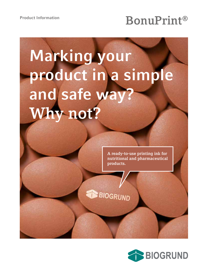# **BonuPrint®**

# **Marking your product in a simple and safe way? Why not?**

**A ready-to-use printing ink for nutritional and pharmaceutical products.**

**BIOGRUND**